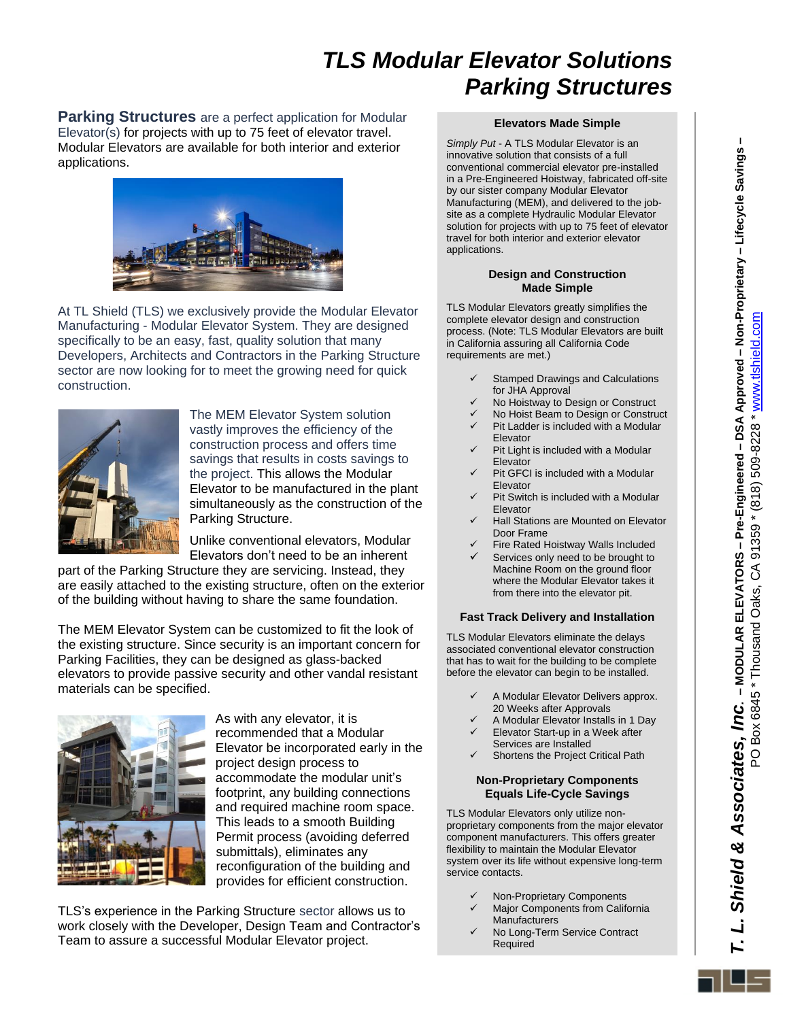# *TLS Modular Elevator Solutions Parking Structures*

**Parking Structures** are a perfect application for Modular Elevator(s) for projects with up to 75 feet of elevator travel. Modular Elevators are available for both interior and exterior applications.



At TL Shield (TLS) we exclusively provide the Modular Elevator Manufacturing - Modular Elevator System. They are designed specifically to be an easy, fast, quality solution that many Developers, Architects and Contractors in the Parking Structure sector are now looking for to meet the growing need for quick construction.



The MEM Elevator System solution vastly improves the efficiency of the construction process and offers time savings that results in costs savings to the project. This allows the Modular Elevator to be manufactured in the plant simultaneously as the construction of the Parking Structure.

Unlike conventional elevators, Modular Elevators don't need to be an inherent

part of the Parking Structure they are servicing. Instead, they are easily attached to the existing structure, often on the exterior of the building without having to share the same foundation.

The MEM Elevator System can be customized to fit the look of the existing structure. Since security is an important concern for Parking Facilities, they can be designed as glass-backed elevators to provide passive security and other vandal resistant materials can be specified.



As with any elevator, it is recommended that a Modular Elevator be incorporated early in the project design process to accommodate the modular unit's footprint, any building connections and required machine room space. This leads to a smooth Building Permit process (avoiding deferred submittals), eliminates any reconfiguration of the building and provides for efficient construction.

TLS's experience in the Parking Structure sector allows us to work closely with the Developer, Design Team and Contractor's Team to assure a successful Modular Elevator project.

### **Elevators Made Simple**

*Simply Put* - A TLS Modular Elevator is an innovative solution that consists of a full conventional commercial elevator pre-installed in a Pre-Engineered Hoistway, fabricated off-site by our sister company Modular Elevator Manufacturing (MEM), and delivered to the jobsite as a complete Hydraulic Modular Elevator solution for projects with up to 75 feet of elevator travel for both interior and exterior elevator applications.

#### **Design and Construction Made Simple**

TLS Modular Elevators greatly simplifies the complete elevator design and construction process. (Note: TLS Modular Elevators are built in California assuring all California Code requirements are met.)

- Stamped Drawings and Calculations for JHA Approval
- No Hoistway to Design or Construct
- ✓ No Hoist Beam to Design or Construct Pit Ladder is included with a Modular
- Elevator
- Pit Light is included with a Modular Elevator
- Pit GFCI is included with a Modular Elevator
- Pit Switch is included with a Modular Elevator
- **Hall Stations are Mounted on Elevator** Door Frame
- Fire Rated Hoistway Walls Included Services only need to be brought to Machine Room on the ground floor where the Modular Elevator takes it from there into the elevator pit.

#### **Fast Track Delivery and Installation**

TLS Modular Elevators eliminate the delays associated conventional elevator construction that has to wait for the building to be complete before the elevator can begin to be installed.

- A Modular Elevator Delivers approx. 20 Weeks after Approvals
- ✓ A Modular Elevator Installs in 1 Day
- Elevator Start-up in a Week after Services are Installed
- Shortens the Project Critical Path

#### **Non-Proprietary Components Equals Life-Cycle Savings**

TLS Modular Elevators only utilize nonproprietary components from the major elevator component manufacturers. This offers greater flexibility to maintain the Modular Elevator system over its life without expensive long-term service contacts.

- ✓ Non-Proprietary Components
- Major Components from California **Manufacturers**
- ✓ No Long-Term Service Contract Required